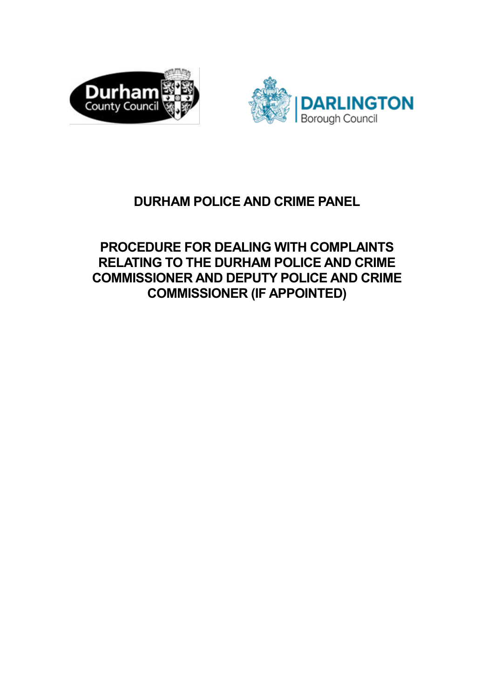



# **DURHAM POLICE AND CRIME PANEL**

**PROCEDURE FOR DEALING WITH COMPLAINTS RELATING TO THE DURHAM POLICE AND CRIME COMMISSIONER AND DEPUTY POLICE AND CRIME COMMISSIONER (IF APPOINTED)**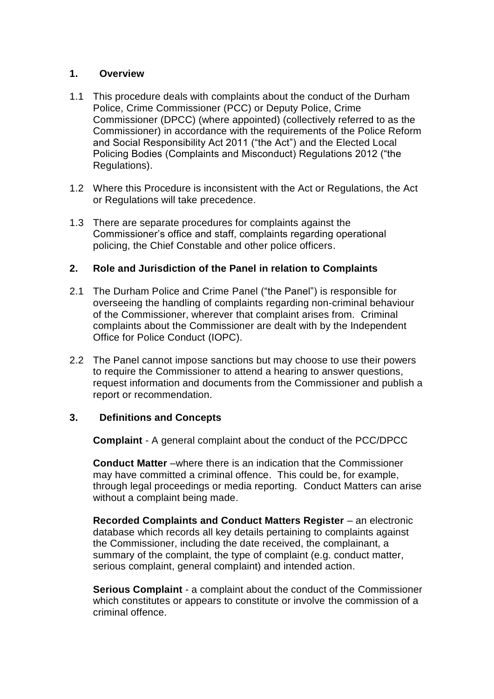# **1. Overview**

- 1.1 This procedure deals with complaints about the conduct of the Durham Police, Crime Commissioner (PCC) or Deputy Police, Crime Commissioner (DPCC) (where appointed) (collectively referred to as the Commissioner) in accordance with the requirements of the Police Reform and Social Responsibility Act 2011 ("the Act") and the Elected Local Policing Bodies (Complaints and Misconduct) Regulations 2012 ("the Regulations).
- 1.2 Where this Procedure is inconsistent with the Act or Regulations, the Act or Regulations will take precedence.
- 1.3 There are separate procedures for complaints against the Commissioner's office and staff, complaints regarding operational policing, the Chief Constable and other police officers.

# **2. Role and Jurisdiction of the Panel in relation to Complaints**

- 2.1 The Durham Police and Crime Panel ("the Panel") is responsible for overseeing the handling of complaints regarding non-criminal behaviour of the Commissioner, wherever that complaint arises from. Criminal complaints about the Commissioner are dealt with by the Independent Office for Police Conduct (IOPC).
- 2.2 The Panel cannot impose sanctions but may choose to use their powers to require the Commissioner to attend a hearing to answer questions, request information and documents from the Commissioner and publish a report or recommendation.

# **3. Definitions and Concepts**

**Complaint** - A general complaint about the conduct of the PCC/DPCC

**Conduct Matter** –where there is an indication that the Commissioner may have committed a criminal offence. This could be, for example, through legal proceedings or media reporting. Conduct Matters can arise without a complaint being made.

**Recorded Complaints and Conduct Matters Register** – an electronic database which records all key details pertaining to complaints against the Commissioner, including the date received, the complainant, a summary of the complaint, the type of complaint (e.g. conduct matter, serious complaint, general complaint) and intended action.

**Serious Complaint** - a complaint about the conduct of the Commissioner which constitutes or appears to constitute or involve the commission of a criminal offence.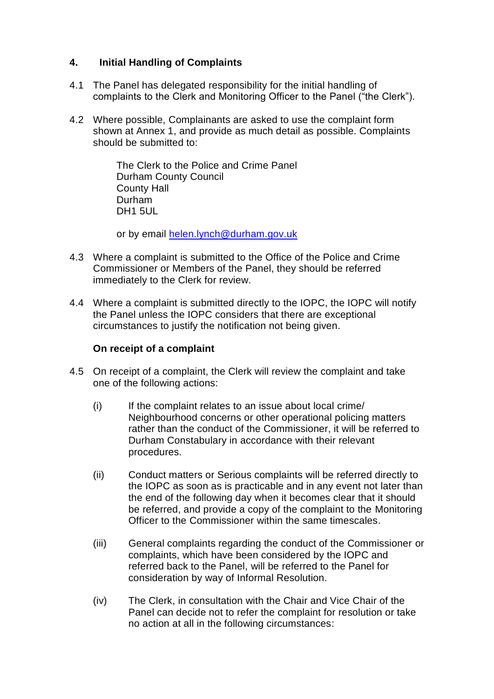# **4. Initial Handling of Complaints**

- 4.1 The Panel has delegated responsibility for the initial handling of complaints to the Clerk and Monitoring Officer to the Panel ("the Clerk").
- 4.2 Where possible, Complainants are asked to use the complaint form shown at Annex 1, and provide as much detail as possible. Complaints should be submitted to:

The Clerk to the Police and Crime Panel Durham County Council County Hall Durham DH1 5UL

or by email [helen.lynch@durham.gov.uk](mailto:helen.lynch@durham.gov.uk)

- 4.3 Where a complaint is submitted to the Office of the Police and Crime Commissioner or Members of the Panel, they should be referred immediately to the Clerk for review.
- 4.4 Where a complaint is submitted directly to the IOPC, the IOPC will notify the Panel unless the IOPC considers that there are exceptional circumstances to justify the notification not being given.

## **On receipt of a complaint**

- 4.5 On receipt of a complaint, the Clerk will review the complaint and take one of the following actions:
	- (i) If the complaint relates to an issue about local crime/ Neighbourhood concerns or other operational policing matters rather than the conduct of the Commissioner, it will be referred to Durham Constabulary in accordance with their relevant procedures.
	- (ii) Conduct matters or Serious complaints will be referred directly to the IOPC as soon as is practicable and in any event not later than the end of the following day when it becomes clear that it should be referred, and provide a copy of the complaint to the Monitoring Officer to the Commissioner within the same timescales.
	- (iii) General complaints regarding the conduct of the Commissioner or complaints, which have been considered by the IOPC and referred back to the Panel, will be referred to the Panel for consideration by way of Informal Resolution.
	- (iv) The Clerk, in consultation with the Chair and Vice Chair of the Panel can decide not to refer the complaint for resolution or take no action at all in the following circumstances: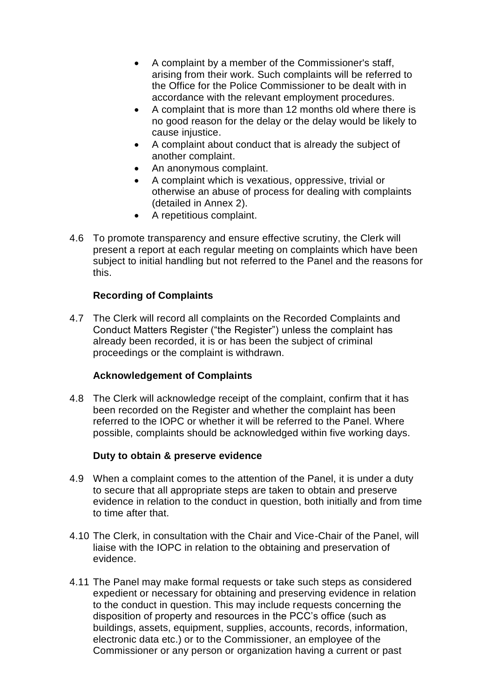- A complaint by a member of the Commissioner's staff, arising from their work. Such complaints will be referred to the Office for the Police Commissioner to be dealt with in accordance with the relevant employment procedures.
- A complaint that is more than 12 months old where there is no good reason for the delay or the delay would be likely to cause injustice.
- A complaint about conduct that is already the subject of another complaint.
- An anonymous complaint.
- A complaint which is vexatious, oppressive, trivial or otherwise an abuse of process for dealing with complaints (detailed in Annex 2).
- A repetitious complaint.
- 4.6 To promote transparency and ensure effective scrutiny, the Clerk will present a report at each regular meeting on complaints which have been subject to initial handling but not referred to the Panel and the reasons for this.

# **Recording of Complaints**

4.7 The Clerk will record all complaints on the Recorded Complaints and Conduct Matters Register ("the Register") unless the complaint has already been recorded, it is or has been the subject of criminal proceedings or the complaint is withdrawn.

# **Acknowledgement of Complaints**

4.8 The Clerk will acknowledge receipt of the complaint, confirm that it has been recorded on the Register and whether the complaint has been referred to the IOPC or whether it will be referred to the Panel. Where possible, complaints should be acknowledged within five working days.

## **Duty to obtain & preserve evidence**

- 4.9 When a complaint comes to the attention of the Panel, it is under a duty to secure that all appropriate steps are taken to obtain and preserve evidence in relation to the conduct in question, both initially and from time to time after that.
- 4.10 The Clerk, in consultation with the Chair and Vice-Chair of the Panel, will liaise with the IOPC in relation to the obtaining and preservation of evidence.
- 4.11 The Panel may make formal requests or take such steps as considered expedient or necessary for obtaining and preserving evidence in relation to the conduct in question. This may include requests concerning the disposition of property and resources in the PCC's office (such as buildings, assets, equipment, supplies, accounts, records, information, electronic data etc.) or to the Commissioner, an employee of the Commissioner or any person or organization having a current or past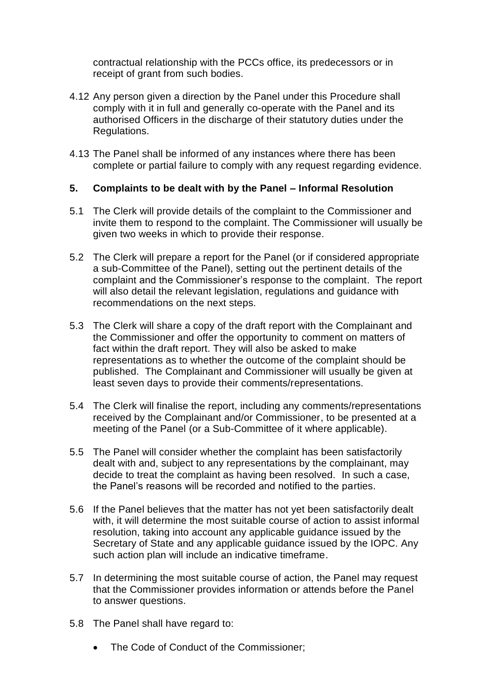contractual relationship with the PCCs office, its predecessors or in receipt of grant from such bodies.

- 4.12 Any person given a direction by the Panel under this Procedure shall comply with it in full and generally co-operate with the Panel and its authorised Officers in the discharge of their statutory duties under the Regulations.
- 4.13 The Panel shall be informed of any instances where there has been complete or partial failure to comply with any request regarding evidence.

# **5. Complaints to be dealt with by the Panel – Informal Resolution**

- 5.1 The Clerk will provide details of the complaint to the Commissioner and invite them to respond to the complaint. The Commissioner will usually be given two weeks in which to provide their response.
- 5.2 The Clerk will prepare a report for the Panel (or if considered appropriate a sub-Committee of the Panel), setting out the pertinent details of the complaint and the Commissioner's response to the complaint. The report will also detail the relevant legislation, regulations and guidance with recommendations on the next steps.
- 5.3 The Clerk will share a copy of the draft report with the Complainant and the Commissioner and offer the opportunity to comment on matters of fact within the draft report. They will also be asked to make representations as to whether the outcome of the complaint should be published. The Complainant and Commissioner will usually be given at least seven days to provide their comments/representations.
- 5.4 The Clerk will finalise the report, including any comments/representations received by the Complainant and/or Commissioner, to be presented at a meeting of the Panel (or a Sub-Committee of it where applicable).
- 5.5 The Panel will consider whether the complaint has been satisfactorily dealt with and, subject to any representations by the complainant, may decide to treat the complaint as having been resolved. In such a case, the Panel's reasons will be recorded and notified to the parties.
- 5.6 If the Panel believes that the matter has not yet been satisfactorily dealt with, it will determine the most suitable course of action to assist informal resolution, taking into account any applicable guidance issued by the Secretary of State and any applicable guidance issued by the IOPC. Any such action plan will include an indicative timeframe.
- 5.7 In determining the most suitable course of action, the Panel may request that the Commissioner provides information or attends before the Panel to answer questions.
- 5.8 The Panel shall have regard to:
	- The Code of Conduct of the Commissioner;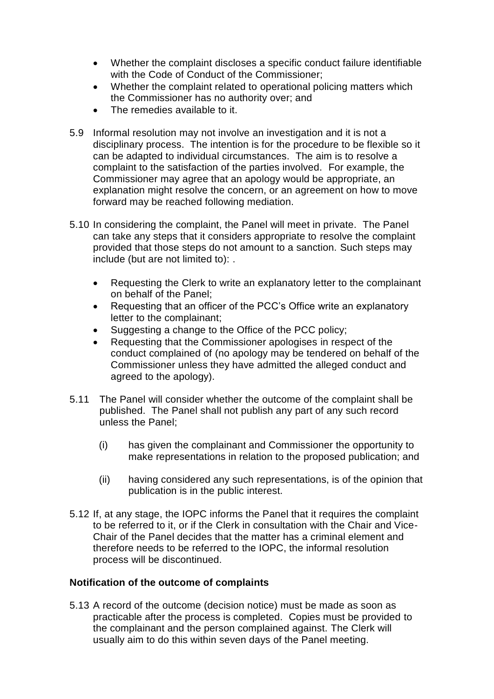- Whether the complaint discloses a specific conduct failure identifiable with the Code of Conduct of the Commissioner;
- Whether the complaint related to operational policing matters which the Commissioner has no authority over; and
- The remedies available to it.
- 5.9 Informal resolution may not involve an investigation and it is not a disciplinary process. The intention is for the procedure to be flexible so it can be adapted to individual circumstances. The aim is to resolve a complaint to the satisfaction of the parties involved. For example, the Commissioner may agree that an apology would be appropriate, an explanation might resolve the concern, or an agreement on how to move forward may be reached following mediation.
- 5.10 In considering the complaint, the Panel will meet in private. The Panel can take any steps that it considers appropriate to resolve the complaint provided that those steps do not amount to a sanction. Such steps may include (but are not limited to): .
	- Requesting the Clerk to write an explanatory letter to the complainant on behalf of the Panel;
	- Requesting that an officer of the PCC's Office write an explanatory letter to the complainant;
	- Suggesting a change to the Office of the PCC policy;
	- Requesting that the Commissioner apologises in respect of the conduct complained of (no apology may be tendered on behalf of the Commissioner unless they have admitted the alleged conduct and agreed to the apology).
- 5.11 The Panel will consider whether the outcome of the complaint shall be published. The Panel shall not publish any part of any such record unless the Panel;
	- (i) has given the complainant and Commissioner the opportunity to make representations in relation to the proposed publication; and
	- (ii) having considered any such representations, is of the opinion that publication is in the public interest.
- 5.12 If, at any stage, the IOPC informs the Panel that it requires the complaint to be referred to it, or if the Clerk in consultation with the Chair and Vice-Chair of the Panel decides that the matter has a criminal element and therefore needs to be referred to the IOPC, the informal resolution process will be discontinued.

## **Notification of the outcome of complaints**

5.13 A record of the outcome (decision notice) must be made as soon as practicable after the process is completed. Copies must be provided to the complainant and the person complained against. The Clerk will usually aim to do this within seven days of the Panel meeting.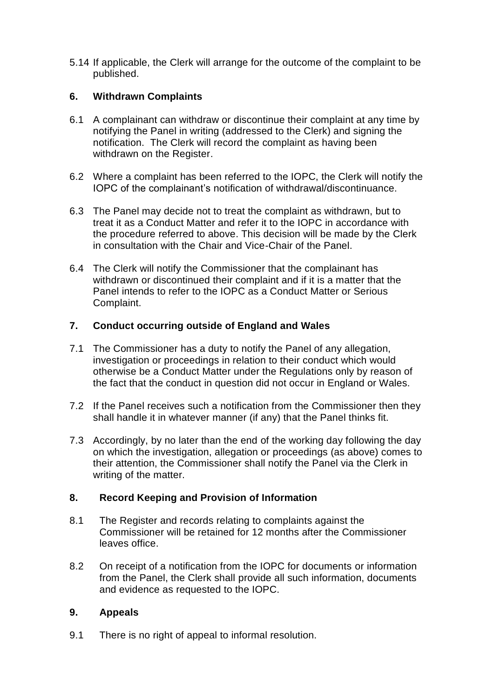5.14 If applicable, the Clerk will arrange for the outcome of the complaint to be published.

# **6. Withdrawn Complaints**

- 6.1 A complainant can withdraw or discontinue their complaint at any time by notifying the Panel in writing (addressed to the Clerk) and signing the notification. The Clerk will record the complaint as having been withdrawn on the Register.
- 6.2 Where a complaint has been referred to the IOPC, the Clerk will notify the IOPC of the complainant's notification of withdrawal/discontinuance.
- 6.3 The Panel may decide not to treat the complaint as withdrawn, but to treat it as a Conduct Matter and refer it to the IOPC in accordance with the procedure referred to above. This decision will be made by the Clerk in consultation with the Chair and Vice-Chair of the Panel.
- 6.4 The Clerk will notify the Commissioner that the complainant has withdrawn or discontinued their complaint and if it is a matter that the Panel intends to refer to the IOPC as a Conduct Matter or Serious Complaint.

## **7. Conduct occurring outside of England and Wales**

- 7.1 The Commissioner has a duty to notify the Panel of any allegation, investigation or proceedings in relation to their conduct which would otherwise be a Conduct Matter under the Regulations only by reason of the fact that the conduct in question did not occur in England or Wales.
- 7.2 If the Panel receives such a notification from the Commissioner then they shall handle it in whatever manner (if any) that the Panel thinks fit.
- 7.3 Accordingly, by no later than the end of the working day following the day on which the investigation, allegation or proceedings (as above) comes to their attention, the Commissioner shall notify the Panel via the Clerk in writing of the matter.

## **8. Record Keeping and Provision of Information**

- 8.1 The Register and records relating to complaints against the Commissioner will be retained for 12 months after the Commissioner leaves office.
- 8.2 On receipt of a notification from the IOPC for documents or information from the Panel, the Clerk shall provide all such information, documents and evidence as requested to the IOPC.

# **9. Appeals**

9.1 There is no right of appeal to informal resolution.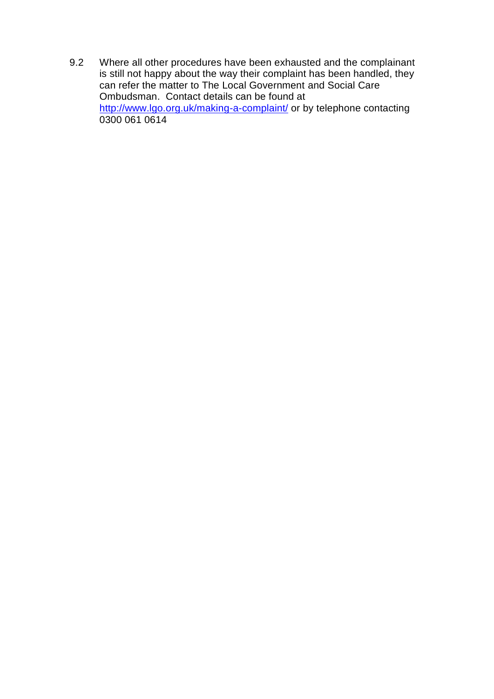9.2 Where all other procedures have been exhausted and the complainant is still not happy about the way their complaint has been handled, they can refer the matter to The Local Government and Social Care Ombudsman. Contact details can be found at <http://www.lgo.org.uk/making-a-complaint/> or by telephone contacting 0300 061 0614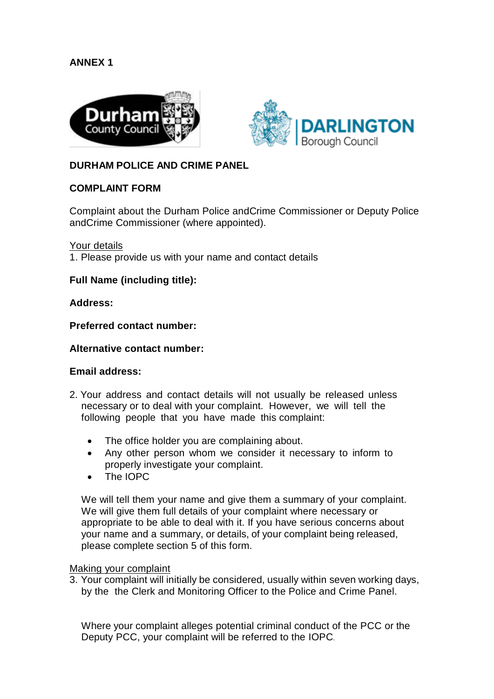# **ANNEX 1**





## **DURHAM POLICE AND CRIME PANEL**

## **COMPLAINT FORM**

Complaint about the Durham Police andCrime Commissioner or Deputy Police andCrime Commissioner (where appointed).

Your details

1. Please provide us with your name and contact details

### **Full Name (including title):**

#### **Address:**

**Preferred contact number:**

#### **Alternative contact number:**

#### **Email address:**

- 2. Your address and contact details will not usually be released unless necessary or to deal with your complaint. However, we will tell the following people that you have made this complaint:
	- The office holder you are complaining about.
	- Any other person whom we consider it necessary to inform to properly investigate your complaint.
	- The IOPC

We will tell them your name and give them a summary of your complaint. We will give them full details of your complaint where necessary or appropriate to be able to deal with it. If you have serious concerns about your name and a summary, or details, of your complaint being released, please complete section 5 of this form.

#### Making your complaint

3. Your complaint will initially be considered, usually within seven working days, by the the Clerk and Monitoring Officer to the Police and Crime Panel.

Where your complaint alleges potential criminal conduct of the PCC or the Deputy PCC, your complaint will be referred to the IOPC.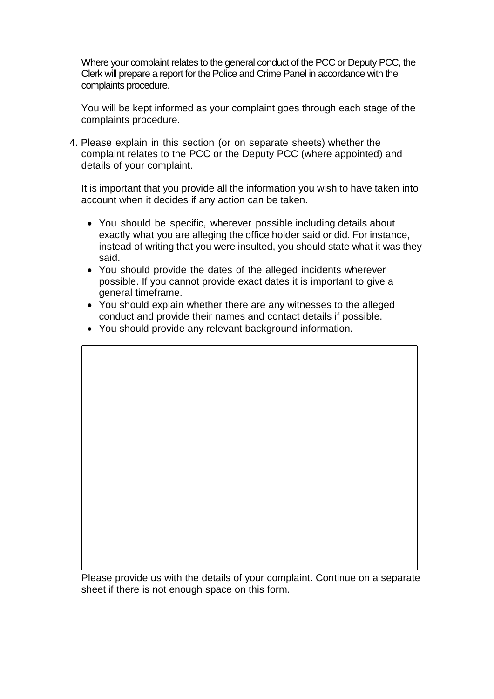Where your complaint relates to the general conduct of the PCC or Deputy PCC, the Clerk will prepare a report for the Police and Crime Panel in accordance with the complaints procedure.

You will be kept informed as your complaint goes through each stage of the complaints procedure.

4. Please explain in this section (or on separate sheets) whether the complaint relates to the PCC or the Deputy PCC (where appointed) and details of your complaint.

It is important that you provide all the information you wish to have taken into account when it decides if any action can be taken.

- You should be specific, wherever possible including details about exactly what you are alleging the office holder said or did. For instance, instead of writing that you were insulted, you should state what it was they said.
- You should provide the dates of the alleged incidents wherever possible. If you cannot provide exact dates it is important to give a general timeframe.
- You should explain whether there are any witnesses to the alleged conduct and provide their names and contact details if possible.
- You should provide any relevant background information.

Please provide us with the details of your complaint. Continue on a separate sheet if there is not enough space on this form.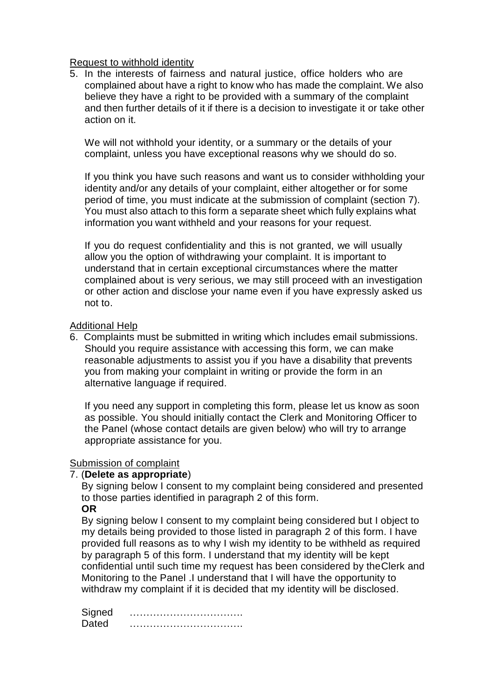### Request to withhold identity

5. In the interests of fairness and natural justice, office holders who are complained about have a right to know who has made the complaint. We also believe they have a right to be provided with a summary of the complaint and then further details of it if there is a decision to investigate it or take other action on it.

We will not withhold your identity, or a summary or the details of your complaint, unless you have exceptional reasons why we should do so.

If you think you have such reasons and want us to consider withholding your identity and/or any details of your complaint, either altogether or for some period of time, you must indicate at the submission of complaint (section 7). You must also attach to this form a separate sheet which fully explains what information you want withheld and your reasons for your request.

If you do request confidentiality and this is not granted, we will usually allow you the option of withdrawing your complaint. It is important to understand that in certain exceptional circumstances where the matter complained about is very serious, we may still proceed with an investigation or other action and disclose your name even if you have expressly asked us not to.

### Additional Help

6. Complaints must be submitted in writing which includes email submissions. Should you require assistance with accessing this form, we can make reasonable adjustments to assist you if you have a disability that prevents you from making your complaint in writing or provide the form in an alternative language if required.

If you need any support in completing this form, please let us know as soon as possible. You should initially contact the Clerk and Monitoring Officer to the Panel (whose contact details are given below) who will try to arrange appropriate assistance for you.

## Submission of complaint

#### 7. (**Delete as appropriate**)

By signing below I consent to my complaint being considered and presented to those parties identified in paragraph 2 of this form. **OR** 

By signing below I consent to my complaint being considered but I object to my details being provided to those listed in paragraph 2 of this form. I have provided full reasons as to why I wish my identity to be withheld as required by paragraph 5 of this form. I understand that my identity will be kept confidential until such time my request has been considered by theClerk and Monitoring to the Panel .I understand that I will have the opportunity to withdraw my complaint if it is decided that my identity will be disclosed.

Signed ……………………………. Dated **Dated**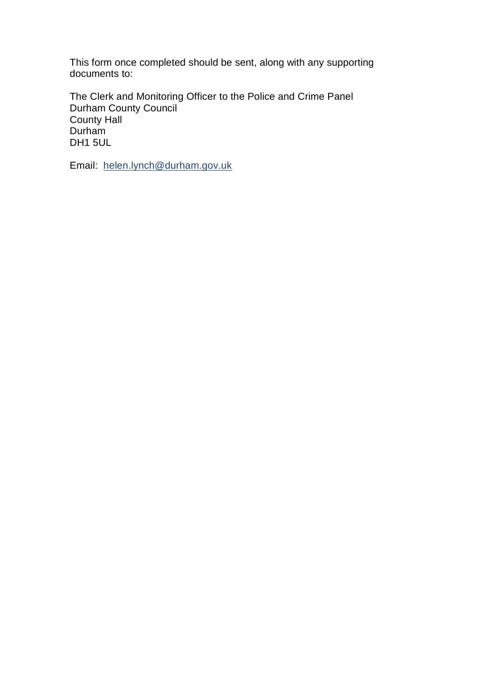This form once completed should be sent, along with any supporting documents to:

The Clerk and Monitoring Officer to the Police and Crime Panel Durham County Council County Hall Durham DH1 5UL

Email: [helen.lynch@durham.gov.uk](mailto:General.EnquiriesPCC@durham-pcc.gov.uk)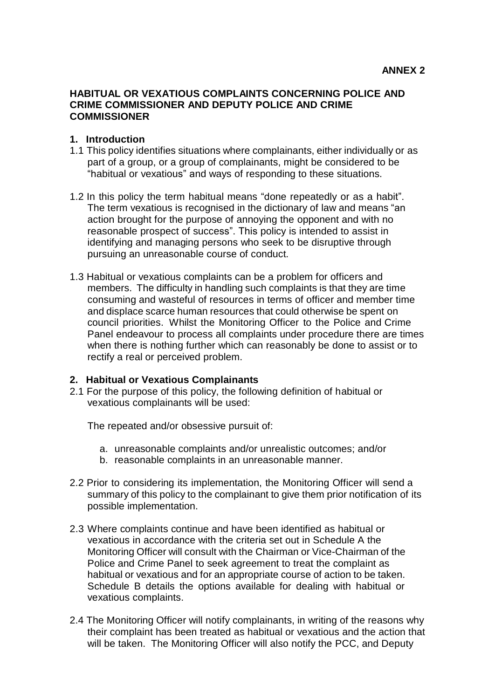#### **HABITUAL OR VEXATIOUS COMPLAINTS CONCERNING POLICE AND CRIME COMMISSIONER AND DEPUTY POLICE AND CRIME COMMISSIONER**

#### **1. Introduction**

- 1.1 This policy identifies situations where complainants, either individually or as part of a group, or a group of complainants, might be considered to be "habitual or vexatious" and ways of responding to these situations.
- 1.2 In this policy the term habitual means "done repeatedly or as a habit". The term vexatious is recognised in the dictionary of law and means "an action brought for the purpose of annoying the opponent and with no reasonable prospect of success". This policy is intended to assist in identifying and managing persons who seek to be disruptive through pursuing an unreasonable course of conduct.
- 1.3 Habitual or vexatious complaints can be a problem for officers and members. The difficulty in handling such complaints is that they are time consuming and wasteful of resources in terms of officer and member time and displace scarce human resources that could otherwise be spent on council priorities. Whilst the Monitoring Officer to the Police and Crime Panel endeavour to process all complaints under procedure there are times when there is nothing further which can reasonably be done to assist or to rectify a real or perceived problem.

#### **2. Habitual or Vexatious Complainants**

2.1 For the purpose of this policy, the following definition of habitual or vexatious complainants will be used:

The repeated and/or obsessive pursuit of:

- a. unreasonable complaints and/or unrealistic outcomes; and/or
- b. reasonable complaints in an unreasonable manner.
- 2.2 Prior to considering its implementation, the Monitoring Officer will send a summary of this policy to the complainant to give them prior notification of its possible implementation.
- 2.3 Where complaints continue and have been identified as habitual or vexatious in accordance with the criteria set out in Schedule A the Monitoring Officer will consult with the Chairman or Vice-Chairman of the Police and Crime Panel to seek agreement to treat the complaint as habitual or vexatious and for an appropriate course of action to be taken. Schedule B details the options available for dealing with habitual or vexatious complaints.
- 2.4 The Monitoring Officer will notify complainants, in writing of the reasons why their complaint has been treated as habitual or vexatious and the action that will be taken. The Monitoring Officer will also notify the PCC, and Deputy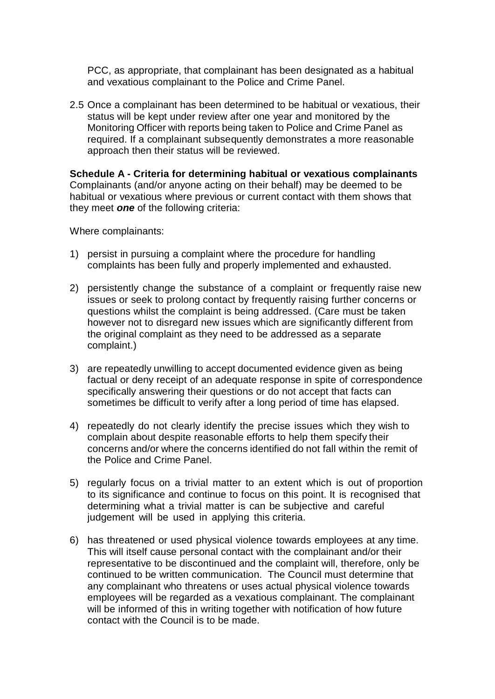PCC, as appropriate, that complainant has been designated as a habitual and vexatious complainant to the Police and Crime Panel.

2.5 Once a complainant has been determined to be habitual or vexatious, their status will be kept under review after one year and monitored by the Monitoring Officer with reports being taken to Police and Crime Panel as required. If a complainant subsequently demonstrates a more reasonable approach then their status will be reviewed.

**Schedule A - Criteria for determining habitual or vexatious complainants** Complainants (and/or anyone acting on their behalf) may be deemed to be habitual or vexatious where previous or current contact with them shows that they meet *one* of the following criteria:

Where complainants:

- 1) persist in pursuing a complaint where the procedure for handling complaints has been fully and properly implemented and exhausted.
- 2) persistently change the substance of a complaint or frequently raise new issues or seek to prolong contact by frequently raising further concerns or questions whilst the complaint is being addressed. (Care must be taken however not to disregard new issues which are significantly different from the original complaint as they need to be addressed as a separate complaint.)
- 3) are repeatedly unwilling to accept documented evidence given as being factual or deny receipt of an adequate response in spite of correspondence specifically answering their questions or do not accept that facts can sometimes be difficult to verify after a long period of time has elapsed.
- 4) repeatedly do not clearly identify the precise issues which they wish to complain about despite reasonable efforts to help them specify their concerns and/or where the concerns identified do not fall within the remit of the Police and Crime Panel.
- 5) regularly focus on a trivial matter to an extent which is out of proportion to its significance and continue to focus on this point. It is recognised that determining what a trivial matter is can be subjective and careful judgement will be used in applying this criteria.
- 6) has threatened or used physical violence towards employees at any time. This will itself cause personal contact with the complainant and/or their representative to be discontinued and the complaint will, therefore, only be continued to be written communication. The Council must determine that any complainant who threatens or uses actual physical violence towards employees will be regarded as a vexatious complainant. The complainant will be informed of this in writing together with notification of how future contact with the Council is to be made.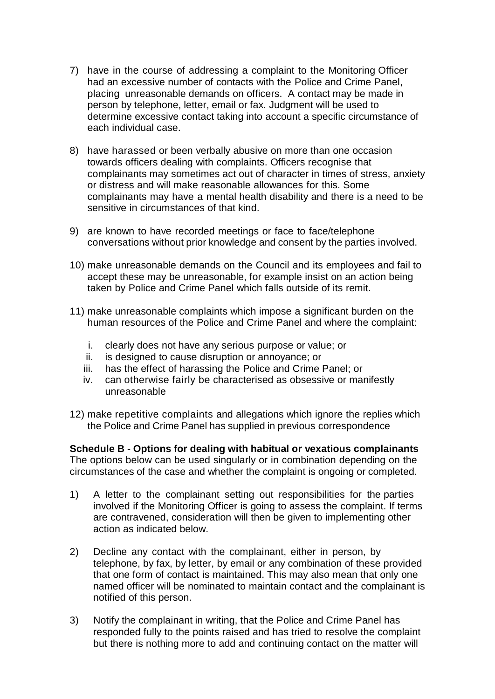- 7) have in the course of addressing a complaint to the Monitoring Officer had an excessive number of contacts with the Police and Crime Panel, placing unreasonable demands on officers. A contact may be made in person by telephone, letter, email or fax. Judgment will be used to determine excessive contact taking into account a specific circumstance of each individual case.
- 8) have harassed or been verbally abusive on more than one occasion towards officers dealing with complaints. Officers recognise that complainants may sometimes act out of character in times of stress, anxiety or distress and will make reasonable allowances for this. Some complainants may have a mental health disability and there is a need to be sensitive in circumstances of that kind.
- 9) are known to have recorded meetings or face to face/telephone conversations without prior knowledge and consent by the parties involved.
- 10) make unreasonable demands on the Council and its employees and fail to accept these may be unreasonable, for example insist on an action being taken by Police and Crime Panel which falls outside of its remit.
- 11) make unreasonable complaints which impose a significant burden on the human resources of the Police and Crime Panel and where the complaint:
	- i. clearly does not have any serious purpose or value; or
	- ii. is designed to cause disruption or annoyance; or
	- iii. has the effect of harassing the Police and Crime Panel; or
	- iv. can otherwise fairly be characterised as obsessive or manifestly unreasonable
- 12) make repetitive complaints and allegations which ignore the replies which the Police and Crime Panel has supplied in previous correspondence

**Schedule B - Options for dealing with habitual or vexatious complainants** The options below can be used singularly or in combination depending on the circumstances of the case and whether the complaint is ongoing or completed.

- 1) A letter to the complainant setting out responsibilities for the parties involved if the Monitoring Officer is going to assess the complaint. If terms are contravened, consideration will then be given to implementing other action as indicated below.
- 2) Decline any contact with the complainant, either in person, by telephone, by fax, by letter, by email or any combination of these provided that one form of contact is maintained. This may also mean that only one named officer will be nominated to maintain contact and the complainant is notified of this person.
- 3) Notify the complainant in writing, that the Police and Crime Panel has responded fully to the points raised and has tried to resolve the complaint but there is nothing more to add and continuing contact on the matter will